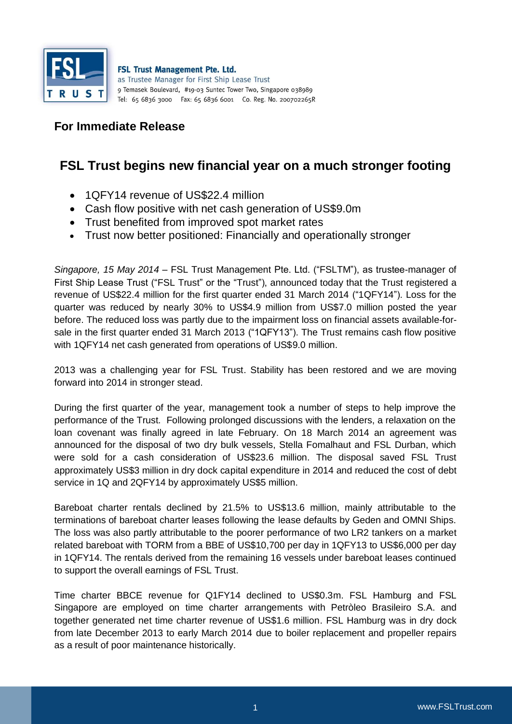

FSL Trust Management Pte. Ltd. as Trustee Manager for First Ship Lease Trust 9 Temasek Boulevard, #19-03 Suntec Tower Two, Singapore 038989 Tel: 65 6836 3000 Fax: 65 6836 6001 Co. Reg. No. 200702265R

## **For Immediate Release**

## **FSL Trust begins new financial year on a much stronger footing**

- 1 OF Y14 revenue of US\$22.4 million
- Cash flow positive with net cash generation of US\$9.0m
- Trust benefited from improved spot market rates
- Trust now better positioned: Financially and operationally stronger

*Singapore, 15 May 2014* – FSL Trust Management Pte. Ltd. ("FSLTM"), as trustee-manager of First Ship Lease Trust ("FSL Trust" or the "Trust"), announced today that the Trust registered a revenue of US\$22.4 million for the first quarter ended 31 March 2014 ("1QFY14"). Loss for the quarter was reduced by nearly 30% to US\$4.9 million from US\$7.0 million posted the year before. The reduced loss was partly due to the impairment loss on financial assets available-forsale in the first quarter ended 31 March 2013 ("1QFY13"). The Trust remains cash flow positive with 1QFY14 net cash generated from operations of US\$9.0 million.

2013 was a challenging year for FSL Trust. Stability has been restored and we are moving forward into 2014 in stronger stead.

During the first quarter of the year, management took a number of steps to help improve the performance of the Trust. Following prolonged discussions with the lenders, a relaxation on the loan covenant was finally agreed in late February. On 18 March 2014 an agreement was announced for the disposal of two dry bulk vessels, Stella Fomalhaut and FSL Durban, which were sold for a cash consideration of US\$23.6 million. The disposal saved FSL Trust approximately US\$3 million in dry dock capital expenditure in 2014 and reduced the cost of debt service in 1Q and 2QFY14 by approximately US\$5 million.

Bareboat charter rentals declined by 21.5% to US\$13.6 million, mainly attributable to the terminations of bareboat charter leases following the lease defaults by Geden and OMNI Ships. The loss was also partly attributable to the poorer performance of two LR2 tankers on a market related bareboat with TORM from a BBE of US\$10,700 per day in 1QFY13 to US\$6,000 per day in 1QFY14. The rentals derived from the remaining 16 vessels under bareboat leases continued to support the overall earnings of FSL Trust.

Time charter BBCE revenue for Q1FY14 declined to US\$0.3m. FSL Hamburg and FSL Singapore are employed on time charter arrangements with Petròleo Brasileiro S.A. and together generated net time charter revenue of US\$1.6 million. FSL Hamburg was in dry dock from late December 2013 to early March 2014 due to boiler replacement and propeller repairs as a result of poor maintenance historically.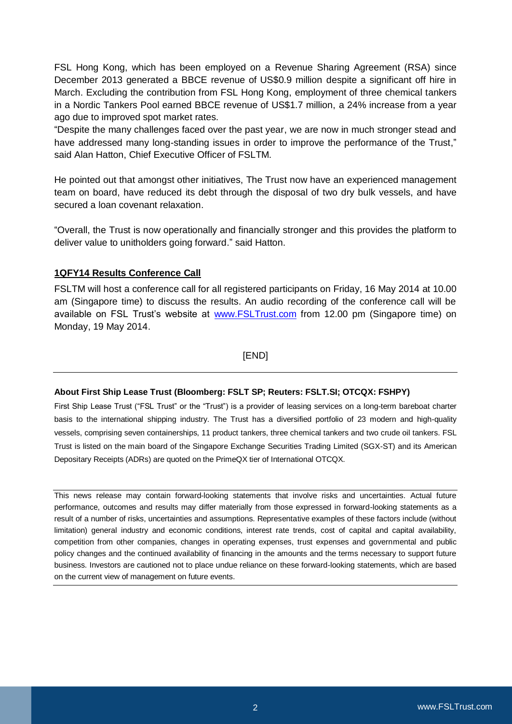FSL Hong Kong, which has been employed on a Revenue Sharing Agreement (RSA) since December 2013 generated a BBCE revenue of US\$0.9 million despite a significant off hire in March. Excluding the contribution from FSL Hong Kong, employment of three chemical tankers in a Nordic Tankers Pool earned BBCE revenue of US\$1.7 million, a 24% increase from a year ago due to improved spot market rates.

"Despite the many challenges faced over the past year, we are now in much stronger stead and have addressed many long-standing issues in order to improve the performance of the Trust," said Alan Hatton, Chief Executive Officer of FSLTM.

He pointed out that amongst other initiatives, The Trust now have an experienced management team on board, have reduced its debt through the disposal of two dry bulk vessels, and have secured a loan covenant relaxation.

"Overall, the Trust is now operationally and financially stronger and this provides the platform to deliver value to unitholders going forward." said Hatton.

## **1QFY14 Results Conference Call**

FSLTM will host a conference call for all registered participants on Friday, 16 May 2014 at 10.00 am (Singapore time) to discuss the results. An audio recording of the conference call will be available on FSL Trust's website at **www.FSLTrust.com** from 12.00 pm (Singapore time) on Monday, 19 May 2014.

[END]

## **About First Ship Lease Trust (Bloomberg: FSLT SP; Reuters: FSLT.SI; OTCQX: FSHPY)**

First Ship Lease Trust ("FSL Trust" or the "Trust") is a provider of leasing services on a long-term bareboat charter basis to the international shipping industry. The Trust has a diversified portfolio of 23 modern and high-quality vessels, comprising seven containerships, 11 product tankers, three chemical tankers and two crude oil tankers. FSL Trust is listed on the main board of the Singapore Exchange Securities Trading Limited (SGX-ST) and its American Depositary Receipts (ADRs) are quoted on the PrimeQX tier of International OTCQX.

This news release may contain forward-looking statements that involve risks and uncertainties. Actual future performance, outcomes and results may differ materially from those expressed in forward-looking statements as a result of a number of risks, uncertainties and assumptions. Representative examples of these factors include (without limitation) general industry and economic conditions, interest rate trends, cost of capital and capital availability, competition from other companies, changes in operating expenses, trust expenses and governmental and public policy changes and the continued availability of financing in the amounts and the terms necessary to support future business. Investors are cautioned not to place undue reliance on these forward-looking statements, which are based on the current view of management on future events.